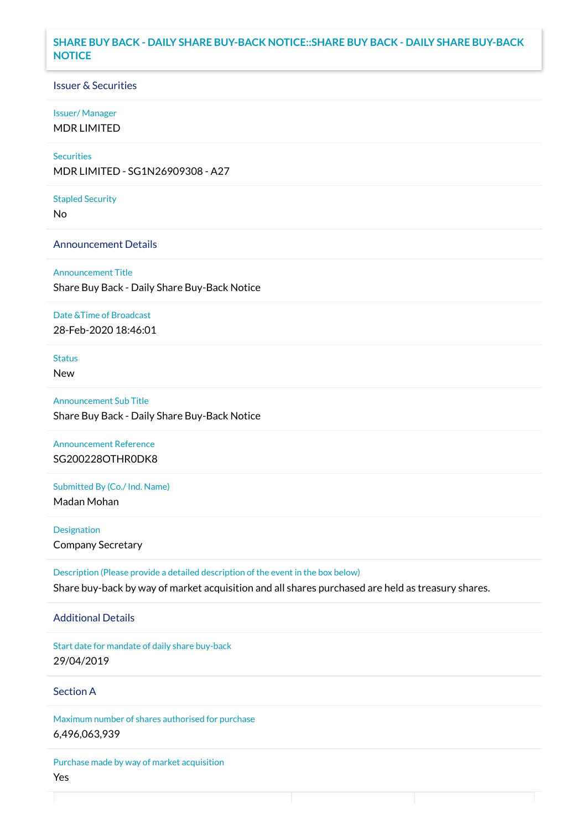#### **SHARE BUY BACK - DAILY SHARE BUY-BACK NOTICE::SHARE BUY BACK - DAILY SHARE BUY-BACK NOTICE**

#### Issuer & Securities

#### Issuer/ Manager

MDR LIMITED

# **Securities**

MDR LIMITED - SG1N26909308 - A27

#### Stapled Security

No

#### Announcement Details

Announcement Title Share Buy Back - Daily Share Buy-Back Notice

#### Date &Time of Broadcast

28-Feb-2020 18:46:01

### Status

New

# Announcement Sub Title Share Buy Back - Daily Share Buy-Back Notice

Announcement Reference SG200228OTHR0DK8

# Submitted By (Co./ Ind. Name)

Madan Mohan

**Designation** Company Secretary

Description (Please provide a detailed description of the event in the box below) Share buy-back by way of market acquisition and all shares purchased are held as treasury shares.

#### Additional Details

Start date for mandate of daily share buy-back 29/04/2019

### Section A

Maximum number of shares authorised for purchase 6,496,063,939

Purchase made by way of market acquisition Yes